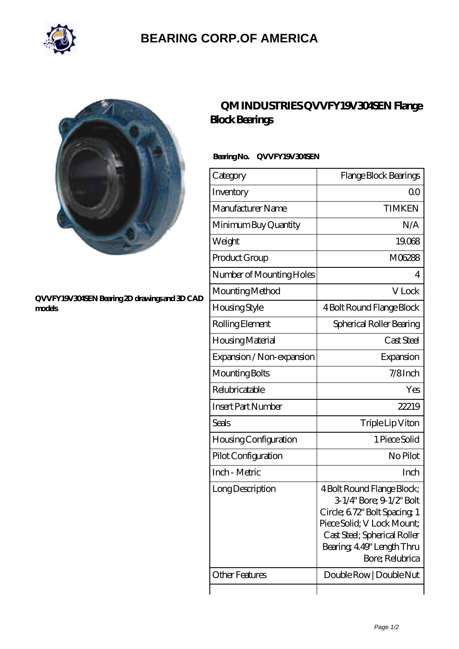

## **[BEARING CORP.OF AMERICA](https://m.bluemondayreview.com)**



#### **[QVVFY19V304SEN Bearing 2D drawings and 3D CAD](https://m.bluemondayreview.com/pic-175671.html) [models](https://m.bluemondayreview.com/pic-175671.html)**

## **[QM INDUSTRIES QVVFY19V304SEN Flange](https://m.bluemondayreview.com/bd-175671-qm-industries-qvvfy19v304sen-flange-block-bearings.html) [Block Bearings](https://m.bluemondayreview.com/bd-175671-qm-industries-qvvfy19v304sen-flange-block-bearings.html)**

### **Bearing No. QVVFY19V304SEN**

| Category                  | Flange Block Bearings                                                                                                                                                                                |
|---------------------------|------------------------------------------------------------------------------------------------------------------------------------------------------------------------------------------------------|
| Inventory                 | Q0                                                                                                                                                                                                   |
| Manufacturer Name         | <b>TIMKEN</b>                                                                                                                                                                                        |
| Minimum Buy Quantity      | N/A                                                                                                                                                                                                  |
| Weight                    | 19068                                                                                                                                                                                                |
| Product Group             | M06288                                                                                                                                                                                               |
| Number of Mounting Holes  | 4                                                                                                                                                                                                    |
| Mounting Method           | V Lock                                                                                                                                                                                               |
| Housing Style             | 4 Bolt Round Flange Block                                                                                                                                                                            |
| Rolling Element           | Spherical Roller Bearing                                                                                                                                                                             |
| Housing Material          | Cast Steel                                                                                                                                                                                           |
| Expansion / Non-expansion | Expansion                                                                                                                                                                                            |
| Mounting Bolts            | $7/8$ Inch                                                                                                                                                                                           |
| Relubricatable            | Yes                                                                                                                                                                                                  |
| <b>Insert Part Number</b> | 22219                                                                                                                                                                                                |
| Seals                     | Triple Lip Viton                                                                                                                                                                                     |
| Housing Configuration     | 1 Piece Solid                                                                                                                                                                                        |
| Pilot Configuration       | No Pilot                                                                                                                                                                                             |
| Inch - Metric             | Inch                                                                                                                                                                                                 |
| Long Description          | 4 Bolt Round Flange Block;<br>3-1/4" Bore; 9-1/2" Bolt<br>Circle; 672" Bolt Spacing 1<br>Piece Solid; V Lock Mount;<br>Cast Steel; Spherical Roller<br>Bearing, 4.49" Length Thru<br>Bore; Relubrica |
| <b>Other Features</b>     | Double Row   Double Nut                                                                                                                                                                              |
|                           |                                                                                                                                                                                                      |